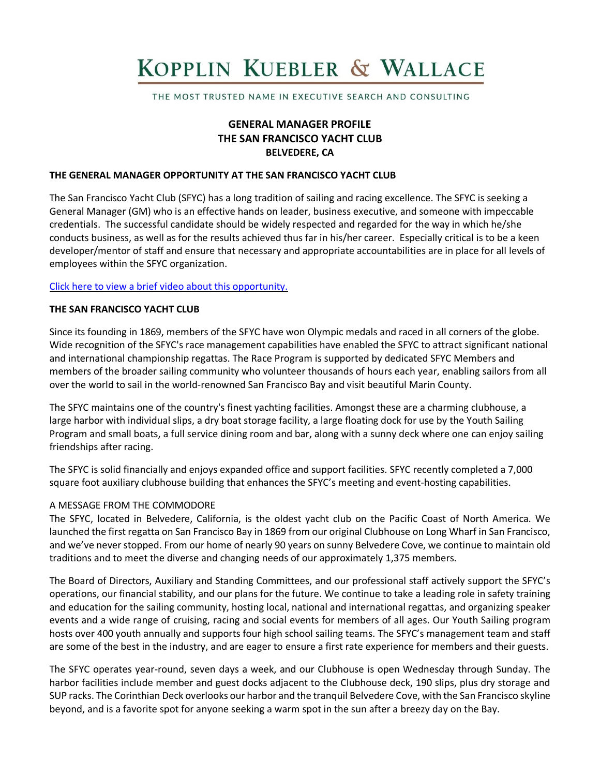# KOPPLIN KUEBLER & WALLACE

THE MOST TRUSTED NAME IN EXECUTIVE SEARCH AND CONSULTING

# **GENERAL MANAGER PROFILE THE SAN FRANCISCO YACHT CLUB BELVEDERE, CA**

#### **THE GENERAL MANAGER OPPORTUNITY AT THE SAN FRANCISCO YACHT CLUB**

The San Francisco Yacht Club (SFYC) has a long tradition of sailing and racing excellence. The SFYC is seeking a General Manager (GM) who is an effective hands on leader, business executive, and someone with impeccable credentials. The successful candidate should be widely respected and regarded for the way in which he/she conducts business, as well as for the results achieved thus far in his/her career. Especially critical is to be a keen developer/mentor of staff and ensure that necessary and appropriate accountabilities are in place for all levels of employees within the SFYC organization.

#### Click here to view a brief video about this [opportunity.](https://www.youtube.com/watch?v=cgVmlwnoZTY)

## **THE SAN FRANCISCO YACHT CLUB**

Since its founding in 1869, members of the SFYC have won Olympic medals and raced in all corners of the globe. Wide recognition of the SFYC's race management capabilities have enabled the SFYC to attract significant national and international championship regattas. The Race Program is supported by dedicated SFYC Members and members of the broader sailing community who volunteer thousands of hours each year, enabling sailors from all over the world to sail in the world-renowned San Francisco Bay and visit beautiful Marin County.

The SFYC maintains one of the country's finest yachting facilities. Amongst these are a charming clubhouse, a large harbor with individual slips, a dry boat storage facility, a large floating dock for use by the Youth Sailing Program and small boats, a full service dining room and bar, along with a sunny deck where one can enjoy sailing friendships after racing.

The SFYC is solid financially and enjoys expanded office and support facilities. SFYC recently completed a 7,000 square foot auxiliary clubhouse building that enhances the SFYC's meeting and event-hosting capabilities.

## A MESSAGE FROM THE COMMODORE

The SFYC, located in Belvedere, California, is the oldest yacht club on the Pacific Coast of North America. We launched the first regatta on San Francisco Bay in 1869 from our original Clubhouse on Long Wharf in San Francisco, and we've never stopped. From our home of nearly 90 years on sunny Belvedere Cove, we continue to maintain old traditions and to meet the diverse and changing needs of our approximately 1,375 members.

The Board of Directors, Auxiliary and Standing Committees, and our professional staff actively support the SFYC's operations, our financial stability, and our plans for the future. We continue to take a leading role in safety training and education for the sailing community, hosting local, national and international regattas, and organizing speaker events and a wide range of cruising, racing and social events for members of all ages. Our Youth Sailing program hosts over 400 youth annually and supports four high school sailing teams. The SFYC's management team and staff are some of the best in the industry, and are eager to ensure a first rate experience for members and their guests.

The SFYC operates year-round, seven days a week, and our Clubhouse is open Wednesday through Sunday. The harbor facilities include member and guest docks adjacent to the Clubhouse deck, 190 slips, plus dry storage and SUP racks. The Corinthian Deck overlooks our harbor and the tranquil Belvedere Cove, with the San Francisco skyline beyond, and is a favorite spot for anyone seeking a warm spot in the sun after a breezy day on the Bay.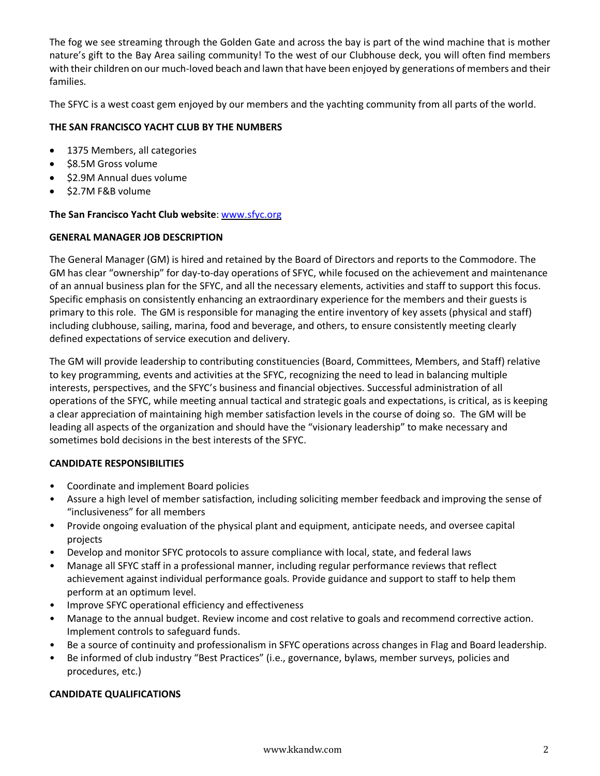The fog we see streaming through the Golden Gate and across the bay is part of the wind machine that is mother nature's gift to the Bay Area sailing community! To the west of our Clubhouse deck, you will often find members with their children on our much-loved beach and lawn that have been enjoyed by generations of members and their families.

The SFYC is a west coast gem enjoyed by our members and the yachting community from all parts of the world.

## **THE SAN FRANCISCO YACHT CLUB BY THE NUMBERS**

- 1375 Members, all categories
- \$8.5M Gross volume
- \$2.9M Annual dues volume
- \$2.7M F&B volume

## **The San Francisco Yacht Club website**: [www.sfyc.org](http://www.sfyc.org/)

#### **GENERAL MANAGER JOB DESCRIPTION**

The General Manager (GM) is hired and retained by the Board of Directors and reports to the Commodore. The GM has clear "ownership" for day-to-day operations of SFYC, while focused on the achievement and maintenance of an annual business plan for the SFYC, and all the necessary elements, activities and staff to support this focus. Specific emphasis on consistently enhancing an extraordinary experience for the members and their guests is primary to this role. The GM is responsible for managing the entire inventory of key assets (physical and staff) including clubhouse, sailing, marina, food and beverage, and others, to ensure consistently meeting clearly defined expectations of service execution and delivery.

The GM will provide leadership to contributing constituencies (Board, Committees, Members, and Staff) relative to key programming, events and activities at the SFYC, recognizing the need to lead in balancing multiple interests, perspectives, and the SFYC's business and financial objectives. Successful administration of all operations of the SFYC, while meeting annual tactical and strategic goals and expectations, is critical, as is keeping a clear appreciation of maintaining high member satisfaction levels in the course of doing so. The GM will be leading all aspects of the organization and should have the "visionary leadership" to make necessary and sometimes bold decisions in the best interests of the SFYC.

## **CANDIDATE RESPONSIBILITIES**

- Coordinate and implement Board policies
- Assure a high level of member satisfaction, including soliciting member feedback and improving the sense of "inclusiveness" for all members
- Provide ongoing evaluation of the physical plant and equipment, anticipate needs, and oversee capital projects
- Develop and monitor SFYC protocols to assure compliance with local, state, and federal laws
- Manage all SFYC staff in a professional manner, including regular performance reviews that reflect achievement against individual performance goals. Provide guidance and support to staff to help them perform at an optimum level.
- Improve SFYC operational efficiency and effectiveness
- Manage to the annual budget. Review income and cost relative to goals and recommend corrective action. Implement controls to safeguard funds.
- Be a source of continuity and professionalism in SFYC operations across changes in Flag and Board leadership.
- Be informed of club industry "Best Practices" (i.e., governance, bylaws, member surveys, policies and procedures, etc.)

## **CANDIDATE QUALIFICATIONS**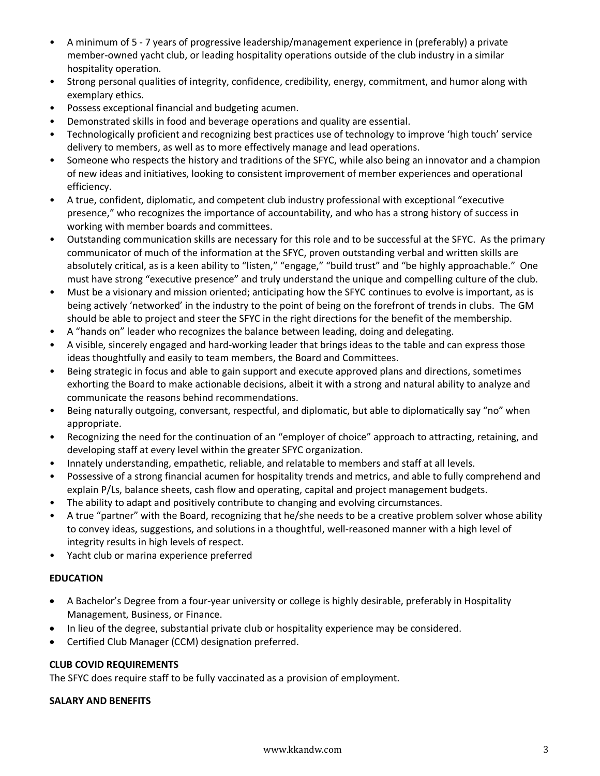- A minimum of 5 7 years of progressive leadership/management experience in (preferably) a private member-owned yacht club, or leading hospitality operations outside of the club industry in a similar hospitality operation.
- Strong personal qualities of integrity, confidence, credibility, energy, commitment, and humor along with exemplary ethics.
- Possess exceptional financial and budgeting acumen.
- Demonstrated skills in food and beverage operations and quality are essential.
- Technologically proficient and recognizing best practices use of technology to improve 'high touch' service delivery to members, as well as to more effectively manage and lead operations.
- Someone who respects the history and traditions of the SFYC, while also being an innovator and a champion of new ideas and initiatives, looking to consistent improvement of member experiences and operational efficiency.
- A true, confident, diplomatic, and competent club industry professional with exceptional "executive presence," who recognizes the importance of accountability, and who has a strong history of success in working with member boards and committees.
- Outstanding communication skills are necessary for this role and to be successful at the SFYC. As the primary communicator of much of the information at the SFYC, proven outstanding verbal and written skills are absolutely critical, as is a keen ability to "listen," "engage," "build trust" and "be highly approachable." One must have strong "executive presence" and truly understand the unique and compelling culture of the club.
- Must be a visionary and mission oriented; anticipating how the SFYC continues to evolve is important, as is being actively 'networked' in the industry to the point of being on the forefront of trends in clubs. The GM should be able to project and steer the SFYC in the right directions for the benefit of the membership.
- A "hands on" leader who recognizes the balance between leading, doing and delegating.
- A visible, sincerely engaged and hard-working leader that brings ideas to the table and can express those ideas thoughtfully and easily to team members, the Board and Committees.
- Being strategic in focus and able to gain support and execute approved plans and directions, sometimes exhorting the Board to make actionable decisions, albeit it with a strong and natural ability to analyze and communicate the reasons behind recommendations.
- Being naturally outgoing, conversant, respectful, and diplomatic, but able to diplomatically say "no" when appropriate.
- Recognizing the need for the continuation of an "employer of choice" approach to attracting, retaining, and developing staff at every level within the greater SFYC organization.
- Innately understanding, empathetic, reliable, and relatable to members and staff at all levels.
- Possessive of a strong financial acumen for hospitality trends and metrics, and able to fully comprehend and explain P/Ls, balance sheets, cash flow and operating, capital and project management budgets.
- The ability to adapt and positively contribute to changing and evolving circumstances.
- A true "partner" with the Board, recognizing that he/she needs to be a creative problem solver whose ability to convey ideas, suggestions, and solutions in a thoughtful, well-reasoned manner with a high level of integrity results in high levels of respect.
- Yacht club or marina experience preferred

# **EDUCATION**

- A Bachelor's Degree from a four-year university or college is highly desirable, preferably in Hospitality Management, Business, or Finance.
- In lieu of the degree, substantial private club or hospitality experience may be considered.
- Certified Club Manager (CCM) designation preferred.

# **CLUB COVID REQUIREMENTS**

The SFYC does require staff to be fully vaccinated as a provision of employment.

## **SALARY AND BENEFITS**